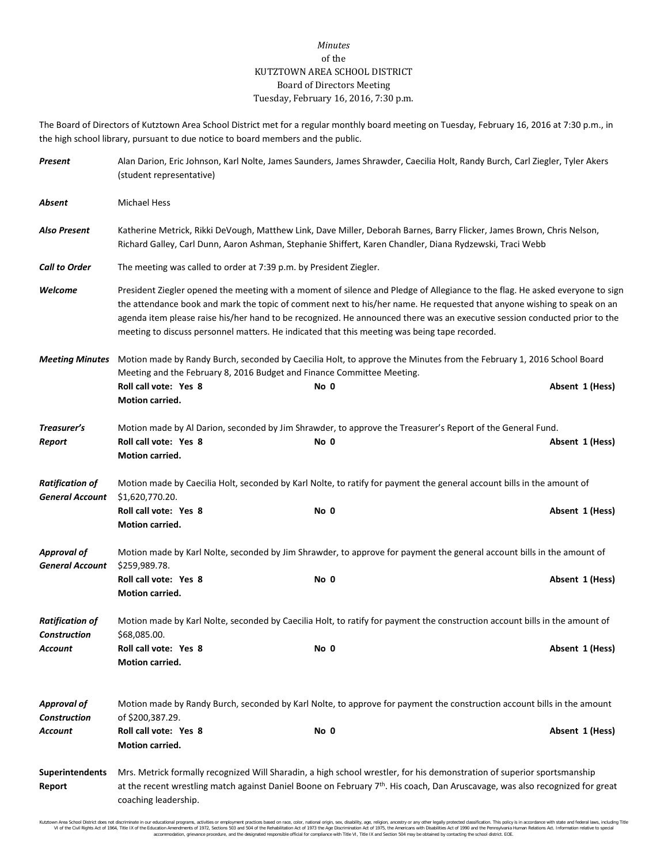## *Minutes* of the KUTZTOWN AREA SCHOOL DISTRICT Board of Directors Meeting Tuesday, February 16, 2016, 7:30 p.m.

The Board of Directors of Kutztown Area School District met for a regular monthly board meeting on Tuesday, February 16, 2016 at 7:30 p.m., in the high school library, pursuant to due notice to board members and the public.

| Present                                          | Alan Darion, Eric Johnson, Karl Nolte, James Saunders, James Shrawder, Caecilia Holt, Randy Burch, Carl Ziegler, Tyler Akers<br>(student representative)                                                                                                                                                                                                                                                                                                                                |      |                 |  |  |  |
|--------------------------------------------------|-----------------------------------------------------------------------------------------------------------------------------------------------------------------------------------------------------------------------------------------------------------------------------------------------------------------------------------------------------------------------------------------------------------------------------------------------------------------------------------------|------|-----------------|--|--|--|
| Absent                                           | <b>Michael Hess</b>                                                                                                                                                                                                                                                                                                                                                                                                                                                                     |      |                 |  |  |  |
| Also Present                                     | Katherine Metrick, Rikki DeVough, Matthew Link, Dave Miller, Deborah Barnes, Barry Flicker, James Brown, Chris Nelson,<br>Richard Galley, Carl Dunn, Aaron Ashman, Stephanie Shiffert, Karen Chandler, Diana Rydzewski, Traci Webb                                                                                                                                                                                                                                                      |      |                 |  |  |  |
| <b>Call to Order</b>                             | The meeting was called to order at 7:39 p.m. by President Ziegler.                                                                                                                                                                                                                                                                                                                                                                                                                      |      |                 |  |  |  |
| Welcome                                          | President Ziegler opened the meeting with a moment of silence and Pledge of Allegiance to the flag. He asked everyone to sign<br>the attendance book and mark the topic of comment next to his/her name. He requested that anyone wishing to speak on an<br>agenda item please raise his/her hand to be recognized. He announced there was an executive session conducted prior to the<br>meeting to discuss personnel matters. He indicated that this meeting was being tape recorded. |      |                 |  |  |  |
| <b>Meeting Minutes</b>                           | Motion made by Randy Burch, seconded by Caecilia Holt, to approve the Minutes from the February 1, 2016 School Board<br>Meeting and the February 8, 2016 Budget and Finance Committee Meeting.                                                                                                                                                                                                                                                                                          |      |                 |  |  |  |
|                                                  | Roll call vote: Yes 8<br><b>Motion carried.</b>                                                                                                                                                                                                                                                                                                                                                                                                                                         | No 0 | Absent 1 (Hess) |  |  |  |
| Treasurer's                                      | Motion made by Al Darion, seconded by Jim Shrawder, to approve the Treasurer's Report of the General Fund.                                                                                                                                                                                                                                                                                                                                                                              |      |                 |  |  |  |
| Report                                           | Roll call vote: Yes 8<br>Motion carried.                                                                                                                                                                                                                                                                                                                                                                                                                                                | No 0 | Absent 1 (Hess) |  |  |  |
| <b>Ratification of</b><br><b>General Account</b> | Motion made by Caecilia Holt, seconded by Karl Nolte, to ratify for payment the general account bills in the amount of<br>\$1,620,770.20.                                                                                                                                                                                                                                                                                                                                               |      |                 |  |  |  |
|                                                  | Roll call vote: Yes 8<br>Motion carried.                                                                                                                                                                                                                                                                                                                                                                                                                                                | No 0 | Absent 1 (Hess) |  |  |  |
| <b>Approval of</b><br><b>General Account</b>     | Motion made by Karl Nolte, seconded by Jim Shrawder, to approve for payment the general account bills in the amount of<br>\$259,989.78.                                                                                                                                                                                                                                                                                                                                                 |      |                 |  |  |  |
|                                                  | Roll call vote: Yes 8<br>Motion carried.                                                                                                                                                                                                                                                                                                                                                                                                                                                | No 0 | Absent 1 (Hess) |  |  |  |
| <b>Ratification of</b><br><b>Construction</b>    | Motion made by Karl Nolte, seconded by Caecilia Holt, to ratify for payment the construction account bills in the amount of<br>\$68,085.00.                                                                                                                                                                                                                                                                                                                                             |      |                 |  |  |  |
| Account                                          | Roll call vote: Yes 8<br><b>Motion carried.</b>                                                                                                                                                                                                                                                                                                                                                                                                                                         | No 0 | Absent 1 (Hess) |  |  |  |
| <b>Approval of</b>                               | Motion made by Randy Burch, seconded by Karl Nolte, to approve for payment the construction account bills in the amount                                                                                                                                                                                                                                                                                                                                                                 |      |                 |  |  |  |
| <b>Construction</b><br>Account                   | of \$200,387.29.<br>Roll call vote: Yes 8<br>Motion carried.                                                                                                                                                                                                                                                                                                                                                                                                                            | No 0 | Absent 1 (Hess) |  |  |  |
| <b>Superintendents</b><br>Report                 | Mrs. Metrick formally recognized Will Sharadin, a high school wrestler, for his demonstration of superior sportsmanship<br>at the recent wrestling match against Daniel Boone on February 7th. His coach, Dan Aruscavage, was also recognized for great<br>coaching leadership.                                                                                                                                                                                                         |      |                 |  |  |  |

Kutzlown Area School District does not discriminate in our oducational programs, activities or employment practices based on ractional origin, sex, disability, so, et also in the about any secure in the search of 1973 to a accommodation, grievance procedure, and the designated responsible official for compliance with Title VI, Title IX and Section 504 may be obtained by contacting the school district. EOE.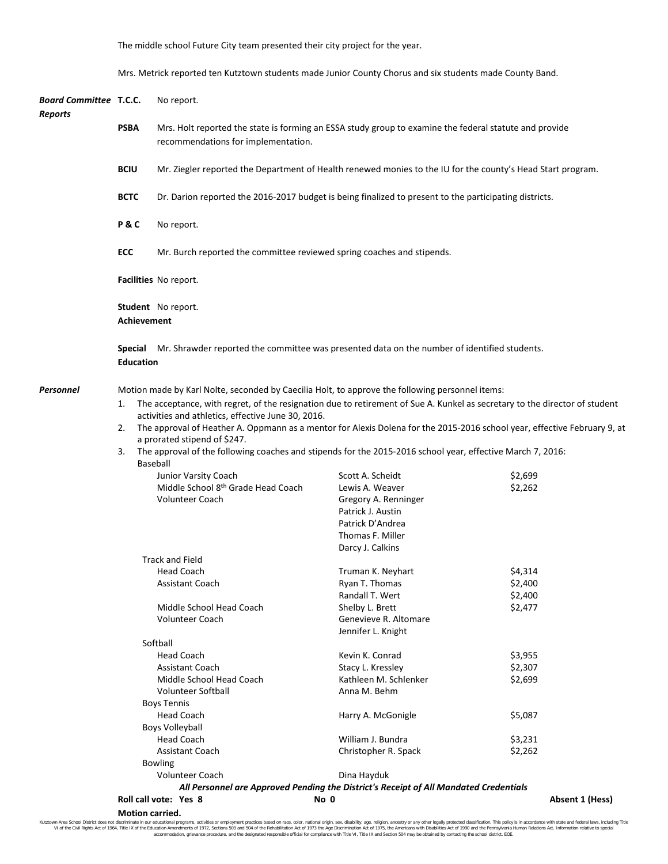The middle school Future City team presented their city project for the year.

Mrs. Metrick reported ten Kutztown students made Junior County Chorus and six students made County Band.

| <b>Board Committee T.C.C.</b><br><b>Reports</b> |                 | No report.                                                                                                                                                                             |                                                                                                                                                                                                                                                                                                                                                                                                                                                                                                  |                                          |  |  |  |  |
|-------------------------------------------------|-----------------|----------------------------------------------------------------------------------------------------------------------------------------------------------------------------------------|--------------------------------------------------------------------------------------------------------------------------------------------------------------------------------------------------------------------------------------------------------------------------------------------------------------------------------------------------------------------------------------------------------------------------------------------------------------------------------------------------|------------------------------------------|--|--|--|--|
|                                                 | <b>PSBA</b>     | Mrs. Holt reported the state is forming an ESSA study group to examine the federal statute and provide<br>recommendations for implementation.                                          |                                                                                                                                                                                                                                                                                                                                                                                                                                                                                                  |                                          |  |  |  |  |
|                                                 | <b>BCIU</b>     | Mr. Ziegler reported the Department of Health renewed monies to the IU for the county's Head Start program.                                                                            |                                                                                                                                                                                                                                                                                                                                                                                                                                                                                                  |                                          |  |  |  |  |
|                                                 | <b>BCTC</b>     | Dr. Darion reported the 2016-2017 budget is being finalized to present to the participating districts.                                                                                 |                                                                                                                                                                                                                                                                                                                                                                                                                                                                                                  |                                          |  |  |  |  |
|                                                 | P&C             | No report.                                                                                                                                                                             |                                                                                                                                                                                                                                                                                                                                                                                                                                                                                                  |                                          |  |  |  |  |
|                                                 | <b>ECC</b>      | Mr. Burch reported the committee reviewed spring coaches and stipends.                                                                                                                 |                                                                                                                                                                                                                                                                                                                                                                                                                                                                                                  |                                          |  |  |  |  |
|                                                 |                 | Facilities No report.                                                                                                                                                                  |                                                                                                                                                                                                                                                                                                                                                                                                                                                                                                  |                                          |  |  |  |  |
|                                                 |                 | Student No report.<br><b>Achievement</b>                                                                                                                                               |                                                                                                                                                                                                                                                                                                                                                                                                                                                                                                  |                                          |  |  |  |  |
|                                                 | <b>Special</b>  | Mr. Shrawder reported the committee was presented data on the number of identified students.<br><b>Education</b>                                                                       |                                                                                                                                                                                                                                                                                                                                                                                                                                                                                                  |                                          |  |  |  |  |
| Personnel                                       |                 | Motion made by Karl Nolte, seconded by Caecilia Holt, to approve the following personnel items:                                                                                        |                                                                                                                                                                                                                                                                                                                                                                                                                                                                                                  |                                          |  |  |  |  |
|                                                 | 1.<br>2.<br>3.  | activities and athletics, effective June 30, 2016.<br>a prorated stipend of \$247.<br>Baseball<br>Junior Varsity Coach<br>Middle School 8th Grade Head Coach<br><b>Volunteer Coach</b> | The acceptance, with regret, of the resignation due to retirement of Sue A. Kunkel as secretary to the director of student<br>The approval of Heather A. Oppmann as a mentor for Alexis Dolena for the 2015-2016 school year, effective February 9, at<br>The approval of the following coaches and stipends for the 2015-2016 school year, effective March 7, 2016:<br>Scott A. Scheidt<br>Lewis A. Weaver<br>Gregory A. Renninger<br>Patrick J. Austin<br>Patrick D'Andrea<br>Thomas F. Miller | \$2,699<br>\$2,262                       |  |  |  |  |
|                                                 |                 | <b>Track and Field</b>                                                                                                                                                                 | Darcy J. Calkins                                                                                                                                                                                                                                                                                                                                                                                                                                                                                 |                                          |  |  |  |  |
|                                                 |                 | <b>Head Coach</b><br><b>Assistant Coach</b><br>Middle School Head Coach<br><b>Volunteer Coach</b>                                                                                      | Truman K. Neyhart<br>Ryan T. Thomas<br>Randall T. Wert<br>Shelby L. Brett<br>Genevieve R. Altomare<br>Jennifer L. Knight                                                                                                                                                                                                                                                                                                                                                                         | \$4,314<br>\$2,400<br>\$2,400<br>\$2,477 |  |  |  |  |
|                                                 |                 | Softball                                                                                                                                                                               |                                                                                                                                                                                                                                                                                                                                                                                                                                                                                                  |                                          |  |  |  |  |
|                                                 |                 | <b>Head Coach</b><br><b>Assistant Coach</b><br>Middle School Head Coach<br><b>Volunteer Softball</b><br><b>Boys Tennis</b>                                                             | Kevin K. Conrad<br>Stacy L. Kressley<br>Kathleen M. Schlenker<br>Anna M. Behm                                                                                                                                                                                                                                                                                                                                                                                                                    | \$3,955<br>\$2,307<br>\$2,699            |  |  |  |  |
|                                                 |                 | <b>Head Coach</b><br><b>Boys Volleyball</b>                                                                                                                                            | Harry A. McGonigle                                                                                                                                                                                                                                                                                                                                                                                                                                                                               | \$5,087                                  |  |  |  |  |
|                                                 |                 | <b>Head Coach</b><br><b>Assistant Coach</b><br><b>Bowling</b><br><b>Volunteer Coach</b>                                                                                                | William J. Bundra<br>Christopher R. Spack<br>Dina Hayduk                                                                                                                                                                                                                                                                                                                                                                                                                                         | \$3,231<br>\$2,262                       |  |  |  |  |
|                                                 |                 | All Personnel are Approved Pending the District's Receipt of All Mandated Credentials                                                                                                  |                                                                                                                                                                                                                                                                                                                                                                                                                                                                                                  |                                          |  |  |  |  |
|                                                 | Motion carried. | Roll call vote: Yes 8                                                                                                                                                                  | No 0                                                                                                                                                                                                                                                                                                                                                                                                                                                                                             | Absent 1 (Hess)                          |  |  |  |  |

Kutztown Area School District does not discriminate in our educational programs, activities or employment practices based on race, color, national origin, sex, disability, age, religion, ancestry or any other leally prote